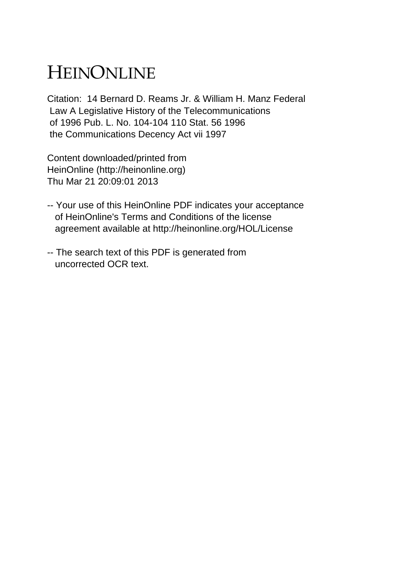# HEINONLINE

Citation: 14 Bernard D. Reams Jr. & William H. Manz Federal Law A Legislative History of the Telecommunications of 1996 Pub. L. No. 104-104 110 Stat. 56 1996 the Communications Decency Act vii 1997

Content downloaded/printed from HeinOnline (http://heinonline.org) Thu Mar 21 20:09:01 2013

- -- Your use of this HeinOnline PDF indicates your acceptance of HeinOnline's Terms and Conditions of the license agreement available at http://heinonline.org/HOL/License
- -- The search text of this PDF is generated from uncorrected OCR text.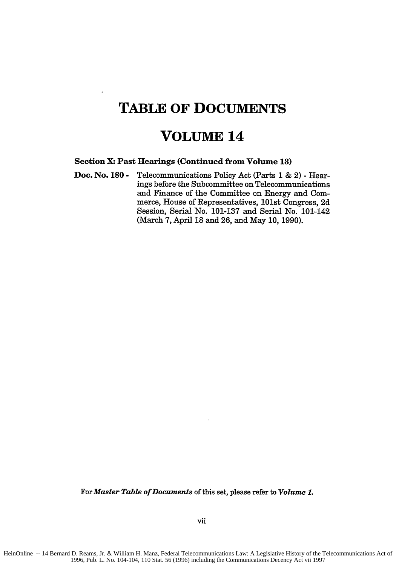# **TABLE OF DOCUMENTS**

### **VOLUME 14**

#### **Section X- Past Hearings (Continued from Volume 13)**

**Doc. No. 180 -** Telecommunications Policy Act (Parts **1** & 2) **-** Hear**ings** before the Subcommittee on Telecommunications and Finance of the Committee on Energy and Commerce, House of Representatives, 101st Congress, 2d Session, Serial No. 101-137 and Serial No. 101-142 (March 7, April **18** and 26, and May **10,** 1990).

For *Master Table of Documents* of this set, please refer to *Volume 1.*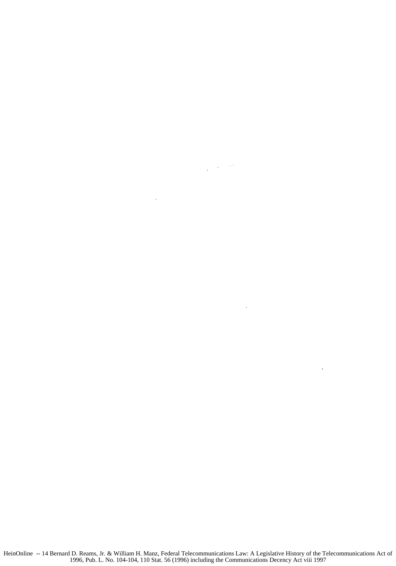HeinOnline -- 14 Bernard D. Reams, Jr. & William H. Manz, Federal Telecommunications Law: A Legislative History of the Telecommunications Act of 1996, Pub. L. No. 104-104, 110 Stat. 56 (1996) including the Communications Decency Act viii 1997

 $\frac{1}{2} \left( \frac{1}{2} \right) \left( \frac{1}{2} \right)$  ,  $\frac{1}{2} \left( \frac{1}{2} \right)$ 

 $\mathbb{Z}$ 

 $\ddot{\phantom{a}}$ 

 $\bar{z}$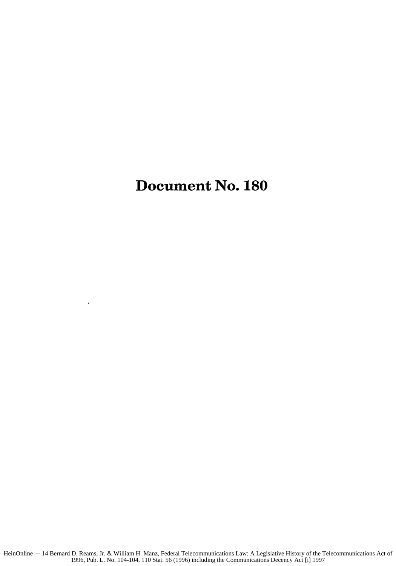# Document No. **180**

k.